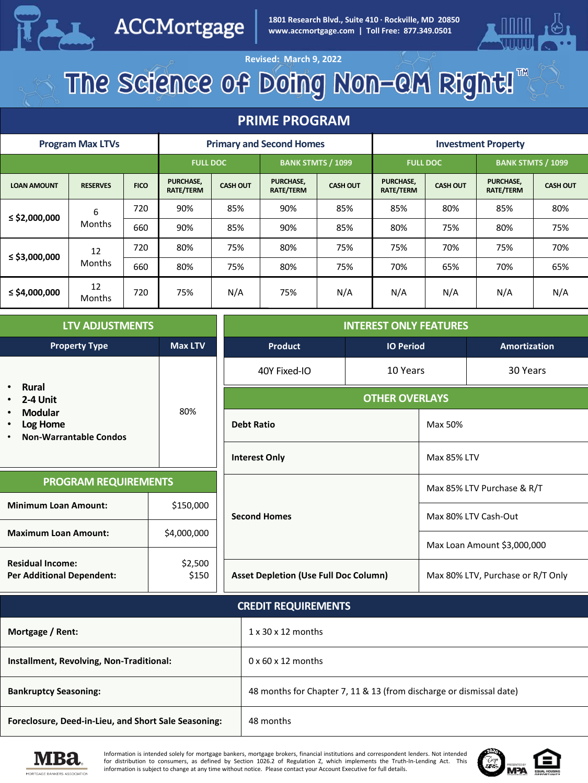

ACCMortgage **1801 Research Blvd., Suite 410 · Rockville, MD 20850 www.accmortgage.com | Toll Free: 877.349.0501**



# Revised: March 9, 2022<br>The Science of Doing Non-QM Right!

#### **PRIME PROGRAM**

| <b>Program Max LTVs</b> |                     |             | <b>Primary and Second Homes</b>      |                 |                                      | <b>Investment Property</b> |                               |                 |                               |                 |
|-------------------------|---------------------|-------------|--------------------------------------|-----------------|--------------------------------------|----------------------------|-------------------------------|-----------------|-------------------------------|-----------------|
|                         |                     |             | <b>FULL DOC</b>                      |                 | <b>BANK STMTS / 1099</b>             |                            | <b>FULL DOC</b>               |                 | <b>BANK STMTS / 1099</b>      |                 |
| <b>LOAN AMOUNT</b>      | <b>RESERVES</b>     | <b>FICO</b> | <b>PURCHASE,</b><br><b>RATE/TERM</b> | <b>CASH OUT</b> | <b>PURCHASE,</b><br><b>RATE/TERM</b> | <b>CASH OUT</b>            | PURCHASE,<br><b>RATE/TERM</b> | <b>CASH OUT</b> | <b>PURCHASE,</b><br>RATE/TERM | <b>CASH OUT</b> |
| ≤ \$2,000,000           | 6<br>Months         | 720         | 90%                                  | 85%             | 90%                                  | 85%                        | 85%                           | 80%             | 85%                           | 80%             |
|                         |                     | 660         | 90%                                  | 85%             | 90%                                  | 85%                        | 80%                           | 75%             | 80%                           | 75%             |
| $\le$ \$3,000,000       | 12<br><b>Months</b> | 720         | 80%                                  | 75%             | 80%                                  | 75%                        | 75%                           | 70%             | 75%                           | 70%             |
|                         |                     | 660         | 80%                                  | 75%             | 80%                                  | 75%                        | 70%                           | 65%             | 70%                           | 65%             |
| $\le$ \$4,000,000       | 12<br>Months        | 720         | 75%                                  | N/A             | 75%                                  | N/A                        | N/A                           | N/A             | N/A                           | N/A             |

| <b>LTV ADJUSTMENTS</b>                                                                |             | <b>INTEREST ONLY FEATURES</b>                |  |                                   |          |  |
|---------------------------------------------------------------------------------------|-------------|----------------------------------------------|--|-----------------------------------|----------|--|
| <b>Max LTV</b><br><b>Property Type</b>                                                |             | <b>Product</b><br><b>IO Period</b>           |  | <b>Amortization</b>               |          |  |
|                                                                                       |             | 10 Years<br>40Y Fixed-IO                     |  |                                   | 30 Years |  |
| <b>Rural</b><br>$\bullet$<br>2-4 Unit                                                 | 80%         | <b>OTHER OVERLAYS</b>                        |  |                                   |          |  |
| <b>Modular</b><br>$\bullet$<br>Log Home<br>$\bullet$<br><b>Non-Warrantable Condos</b> |             | <b>Debt Ratio</b>                            |  | Max 50%                           |          |  |
|                                                                                       |             | <b>Interest Only</b>                         |  | <b>Max 85% LTV</b>                |          |  |
| <b>PROGRAM REQUIREMENTS</b>                                                           |             | <b>Second Homes</b>                          |  | Max 85% LTV Purchase & R/T        |          |  |
| <b>Minimum Loan Amount:</b>                                                           | \$150,000   |                                              |  | Max 80% LTV Cash-Out              |          |  |
| <b>Maximum Loan Amount:</b>                                                           | \$4,000,000 |                                              |  | Max Loan Amount \$3,000,000       |          |  |
| <b>Residual Income:</b>                                                               | \$2,500     |                                              |  |                                   |          |  |
| \$150<br><b>Per Additional Dependent:</b>                                             |             | <b>Asset Depletion (Use Full Doc Column)</b> |  | Max 80% LTV, Purchase or R/T Only |          |  |
|                                                                                       |             | <b>CREDIT REQUIREMENTS</b>                   |  |                                   |          |  |
| Mautonna / Danti                                                                      |             | $1.20.11$ months                             |  |                                   |          |  |

| Mortgage / Rent:                                     | $1 \times 30 \times 12$ months                                      |
|------------------------------------------------------|---------------------------------------------------------------------|
| Installment, Revolving, Non-Traditional:             | $0 \times 60 \times 12$ months                                      |
| <b>Bankruptcy Seasoning:</b>                         | 48 months for Chapter 7, 11 & 13 (from discharge or dismissal date) |
| Foreclosure, Deed-in-Lieu, and Short Sale Seasoning: | 48 months                                                           |



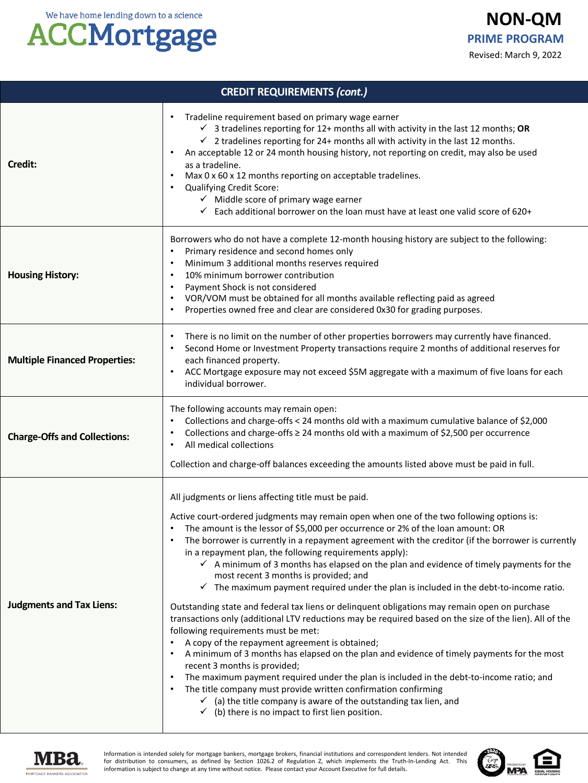#### **ACCMortgage**

| <b>CREDIT REQUIREMENTS (cont.)</b>   |                                                                                                                                                                                                                                                                                                                                                                                                                                                                                                                                                                                                                                                                                                                                                                                                                                                                                                                                                                                                                                                                                                                                                                                                                                                                                                                                                                                                          |  |  |  |
|--------------------------------------|----------------------------------------------------------------------------------------------------------------------------------------------------------------------------------------------------------------------------------------------------------------------------------------------------------------------------------------------------------------------------------------------------------------------------------------------------------------------------------------------------------------------------------------------------------------------------------------------------------------------------------------------------------------------------------------------------------------------------------------------------------------------------------------------------------------------------------------------------------------------------------------------------------------------------------------------------------------------------------------------------------------------------------------------------------------------------------------------------------------------------------------------------------------------------------------------------------------------------------------------------------------------------------------------------------------------------------------------------------------------------------------------------------|--|--|--|
| Credit:                              | Tradeline requirement based on primary wage earner<br>$\checkmark$ 3 tradelines reporting for 12+ months all with activity in the last 12 months; OR<br>$\checkmark$ 2 tradelines reporting for 24+ months all with activity in the last 12 months.<br>An acceptable 12 or 24 month housing history, not reporting on credit, may also be used<br>as a tradeline.<br>Max 0 x 60 x 12 months reporting on acceptable tradelines.<br><b>Qualifying Credit Score:</b><br>$\checkmark$ Middle score of primary wage earner<br>$\checkmark$ Each additional borrower on the loan must have at least one valid score of 620+                                                                                                                                                                                                                                                                                                                                                                                                                                                                                                                                                                                                                                                                                                                                                                                   |  |  |  |
| <b>Housing History:</b>              | Borrowers who do not have a complete 12-month housing history are subject to the following:<br>Primary residence and second homes only<br>Minimum 3 additional months reserves required<br>10% minimum borrower contribution<br>Payment Shock is not considered<br>VOR/VOM must be obtained for all months available reflecting paid as agreed<br>Properties owned free and clear are considered 0x30 for grading purposes.                                                                                                                                                                                                                                                                                                                                                                                                                                                                                                                                                                                                                                                                                                                                                                                                                                                                                                                                                                              |  |  |  |
| <b>Multiple Financed Properties:</b> | There is no limit on the number of other properties borrowers may currently have financed.<br>Second Home or Investment Property transactions require 2 months of additional reserves for<br>each financed property.<br>ACC Mortgage exposure may not exceed \$5M aggregate with a maximum of five loans for each<br>individual borrower.                                                                                                                                                                                                                                                                                                                                                                                                                                                                                                                                                                                                                                                                                                                                                                                                                                                                                                                                                                                                                                                                |  |  |  |
| <b>Charge-Offs and Collections:</b>  | The following accounts may remain open:<br>Collections and charge-offs < 24 months old with a maximum cumulative balance of \$2,000<br>Collections and charge-offs $\geq$ 24 months old with a maximum of \$2,500 per occurrence<br>All medical collections<br>Collection and charge-off balances exceeding the amounts listed above must be paid in full.                                                                                                                                                                                                                                                                                                                                                                                                                                                                                                                                                                                                                                                                                                                                                                                                                                                                                                                                                                                                                                               |  |  |  |
| <b>Judgments and Tax Liens:</b>      | All judgments or liens affecting title must be paid.<br>Active court-ordered judgments may remain open when one of the two following options is:<br>The amount is the lessor of \$5,000 per occurrence or 2% of the loan amount: OR<br>The borrower is currently in a repayment agreement with the creditor (if the borrower is currently<br>in a repayment plan, the following requirements apply):<br>$\checkmark$ A minimum of 3 months has elapsed on the plan and evidence of timely payments for the<br>most recent 3 months is provided; and<br>$\checkmark$ The maximum payment required under the plan is included in the debt-to-income ratio.<br>Outstanding state and federal tax liens or delinquent obligations may remain open on purchase<br>transactions only (additional LTV reductions may be required based on the size of the lien). All of the<br>following requirements must be met:<br>A copy of the repayment agreement is obtained;<br>A minimum of 3 months has elapsed on the plan and evidence of timely payments for the most<br>recent 3 months is provided;<br>The maximum payment required under the plan is included in the debt-to-income ratio; and<br>The title company must provide written confirmation confirming<br>$\checkmark$ (a) the title company is aware of the outstanding tax lien, and<br>$\checkmark$ (b) there is no impact to first lien position. |  |  |  |



Information is intended solely for mortgage bankers, mortgage brokers, financial institutions and correspondent lenders. Not intended<br>for distribution to consumers, as defined by Section 1026.2 of Regulation Z, which imple

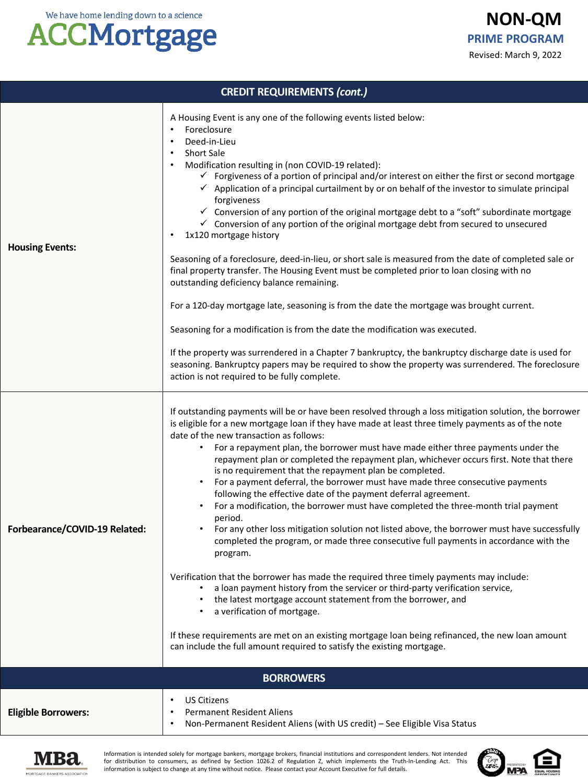#### **ACCMortgage**

**NON-QM** Revised: March 9, 2022 **PRIME PROGRAM**

| <b>CREDIT REQUIREMENTS (cont.)</b> |                                                                                                                                                                                                                                                                                                                                                                                                                                                                                                                                                                                                                                                                                                                                                                                                                                                                                                                                                                                                                                                                                                                                                                                                                                                                                                                                                                                                                                          |  |  |  |
|------------------------------------|------------------------------------------------------------------------------------------------------------------------------------------------------------------------------------------------------------------------------------------------------------------------------------------------------------------------------------------------------------------------------------------------------------------------------------------------------------------------------------------------------------------------------------------------------------------------------------------------------------------------------------------------------------------------------------------------------------------------------------------------------------------------------------------------------------------------------------------------------------------------------------------------------------------------------------------------------------------------------------------------------------------------------------------------------------------------------------------------------------------------------------------------------------------------------------------------------------------------------------------------------------------------------------------------------------------------------------------------------------------------------------------------------------------------------------------|--|--|--|
| <b>Housing Events:</b>             | A Housing Event is any one of the following events listed below:<br>Foreclosure<br>$\bullet$<br>Deed-in-Lieu<br>٠<br><b>Short Sale</b><br>$\bullet$<br>Modification resulting in (non COVID-19 related):<br>٠<br>$\checkmark$ Forgiveness of a portion of principal and/or interest on either the first or second mortgage<br>$\checkmark$ Application of a principal curtailment by or on behalf of the investor to simulate principal<br>forgiveness<br>✓ Conversion of any portion of the original mortgage debt to a "soft" subordinate mortgage<br>$\checkmark$ Conversion of any portion of the original mortgage debt from secured to unsecured<br>1x120 mortgage history<br>٠<br>Seasoning of a foreclosure, deed-in-lieu, or short sale is measured from the date of completed sale or<br>final property transfer. The Housing Event must be completed prior to loan closing with no<br>outstanding deficiency balance remaining.<br>For a 120-day mortgage late, seasoning is from the date the mortgage was brought current.<br>Seasoning for a modification is from the date the modification was executed.<br>If the property was surrendered in a Chapter 7 bankruptcy, the bankruptcy discharge date is used for<br>seasoning. Bankruptcy papers may be required to show the property was surrendered. The foreclosure<br>action is not required to be fully complete.                                                    |  |  |  |
| Forbearance/COVID-19 Related:      | If outstanding payments will be or have been resolved through a loss mitigation solution, the borrower<br>is eligible for a new mortgage loan if they have made at least three timely payments as of the note<br>date of the new transaction as follows:<br>For a repayment plan, the borrower must have made either three payments under the<br>repayment plan or completed the repayment plan, whichever occurs first. Note that there<br>is no requirement that the repayment plan be completed.<br>• For a payment deferral, the borrower must have made three consecutive payments<br>following the effective date of the payment deferral agreement.<br>• For a modification, the borrower must have completed the three-month trial payment<br>period.<br>For any other loss mitigation solution not listed above, the borrower must have successfully<br>$\bullet$<br>completed the program, or made three consecutive full payments in accordance with the<br>program.<br>Verification that the borrower has made the required three timely payments may include:<br>a loan payment history from the servicer or third-party verification service,<br>the latest mortgage account statement from the borrower, and<br>a verification of mortgage.<br>If these requirements are met on an existing mortgage loan being refinanced, the new loan amount<br>can include the full amount required to satisfy the existing mortgage. |  |  |  |
|                                    | <b>BORROWERS</b>                                                                                                                                                                                                                                                                                                                                                                                                                                                                                                                                                                                                                                                                                                                                                                                                                                                                                                                                                                                                                                                                                                                                                                                                                                                                                                                                                                                                                         |  |  |  |
| <b>Eligible Borrowers:</b>         | <b>US Citizens</b><br>٠<br><b>Permanent Resident Aliens</b><br>٠<br>Non-Permanent Resident Aliens (with US credit) - See Eligible Visa Status<br>٠                                                                                                                                                                                                                                                                                                                                                                                                                                                                                                                                                                                                                                                                                                                                                                                                                                                                                                                                                                                                                                                                                                                                                                                                                                                                                       |  |  |  |



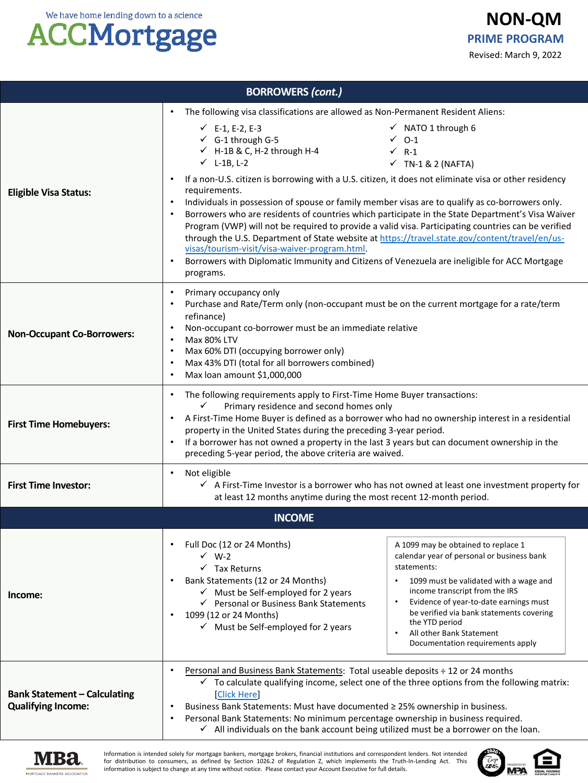#### **ACCMortgage**

|                                   | 7575                                                                                                                                                                                                                                                                                                                                                                                                                                                                                                                                                                                                                                                                                                                                                                                                                                                                                                                                                      |                                                                                                                                                                              |  |  |  |
|-----------------------------------|-----------------------------------------------------------------------------------------------------------------------------------------------------------------------------------------------------------------------------------------------------------------------------------------------------------------------------------------------------------------------------------------------------------------------------------------------------------------------------------------------------------------------------------------------------------------------------------------------------------------------------------------------------------------------------------------------------------------------------------------------------------------------------------------------------------------------------------------------------------------------------------------------------------------------------------------------------------|------------------------------------------------------------------------------------------------------------------------------------------------------------------------------|--|--|--|
|                                   |                                                                                                                                                                                                                                                                                                                                                                                                                                                                                                                                                                                                                                                                                                                                                                                                                                                                                                                                                           | Revised: March 9, 2022                                                                                                                                                       |  |  |  |
| <b>BORROWERS (cont.)</b>          |                                                                                                                                                                                                                                                                                                                                                                                                                                                                                                                                                                                                                                                                                                                                                                                                                                                                                                                                                           |                                                                                                                                                                              |  |  |  |
| <b>Eligible Visa Status:</b>      | The following visa classifications are allowed as Non-Permanent Resident Aliens:<br>$\checkmark$ E-1, E-2, E-3<br>$\checkmark$ G-1 through G-5<br>$\checkmark$ H-1B & C, H-2 through H-4<br>$\checkmark$ L-1B, L-2<br>If a non-U.S. citizen is borrowing with a U.S. citizen, it does not eliminate visa or other residency<br>$\bullet$<br>requirements.<br>Individuals in possession of spouse or family member visas are to qualify as co-borrowers only.<br>$\bullet$<br>Borrowers who are residents of countries which participate in the State Department's Visa Waiver<br>٠<br>Program (VWP) will not be required to provide a valid visa. Participating countries can be verified<br>through the U.S. Department of State website at https://travel.state.gov/content/travel/en/us-<br>visas/tourism-visit/visa-waiver-program.html.<br>Borrowers with Diplomatic Immunity and Citizens of Venezuela are ineligible for ACC Mortgage<br>programs. | $\checkmark$ NATO 1 through 6<br>$\checkmark$ 0-1<br>$\checkmark$ R-1<br>$\checkmark$ TN-1 & 2 (NAFTA)                                                                       |  |  |  |
| <b>Non-Occupant Co-Borrowers:</b> | Primary occupancy only<br>Purchase and Rate/Term only (non-occupant must be on the current mortgage for a rate/term<br>$\bullet$<br>refinance)<br>Non-occupant co-borrower must be an immediate relative<br>Max 80% LTV<br>Max 60% DTI (occupying borrower only)<br>$\bullet$<br>Max 43% DTI (total for all borrowers combined)<br>$\bullet$<br>Max loan amount \$1,000,000<br>$\bullet$                                                                                                                                                                                                                                                                                                                                                                                                                                                                                                                                                                  |                                                                                                                                                                              |  |  |  |
| <b>First Time Homebuyers:</b>     | The following requirements apply to First-Time Home Buyer transactions:<br>$\bullet$<br>Primary residence and second homes only<br>A First-Time Home Buyer is defined as a borrower who had no ownership interest in a residential<br>property in the United States during the preceding 3-year period.<br>If a borrower has not owned a property in the last 3 years but can document ownership in the<br>preceding 5-year period, the above criteria are waived.                                                                                                                                                                                                                                                                                                                                                                                                                                                                                        |                                                                                                                                                                              |  |  |  |
| <b>First Time Investor:</b>       | Not eligible<br>$\bullet$<br>$\checkmark$ A First-Time Investor is a borrower who has not owned at least one investment property for<br>at least 12 months anytime during the most recent 12-month period.                                                                                                                                                                                                                                                                                                                                                                                                                                                                                                                                                                                                                                                                                                                                                |                                                                                                                                                                              |  |  |  |
|                                   | <b>INCOME</b>                                                                                                                                                                                                                                                                                                                                                                                                                                                                                                                                                                                                                                                                                                                                                                                                                                                                                                                                             |                                                                                                                                                                              |  |  |  |
| Incomo                            | Full Doc (12 or 24 Months)<br>$\checkmark$ W-2<br>$\checkmark$ Tax Returns<br>Bank Statements (12 or 24 Months)<br>$\checkmark$ Must be Self-emploved for 2 years                                                                                                                                                                                                                                                                                                                                                                                                                                                                                                                                                                                                                                                                                                                                                                                         | A 1099 may be obtained to replace 1<br>calendar year of personal or business bank<br>statements:<br>1099 must be validated with a wage and<br>income transcript from the IRS |  |  |  |

• Personal and Business Bank Statements: Total useable deposits ÷ 12 or 24 months

• Business Bank Statements: Must have documented ≥ 25% ownership in business. Personal Bank Statements: No minimum percentage ownership in business required.  $\checkmark$  All individuals on the bank account being utilized must be a borrower on the loan.

 $\checkmark$  To calculate qualifying income, select one of the three options from the following matrix:

 $\checkmark$  Personal or Business Bank Statements

 $\checkmark$  Must be Self-employed for 2 years

• 1099 (12 or 24 Months)

[\[Click Here\]](https://www.accmortgage.com/wp-content/uploads/2021/11/Bank-Statement-Qualifying-Income-Methodology.pdf)



• Evidence of year-to-date earnings must be verified via bank statements covering

the YTD period All other Bank Statement Documentation requirements apply

**NON-QM**

**PRIME PROGRAM**



**Qualifying Income:**

**Bank Statement – Calculating** 

**Income:**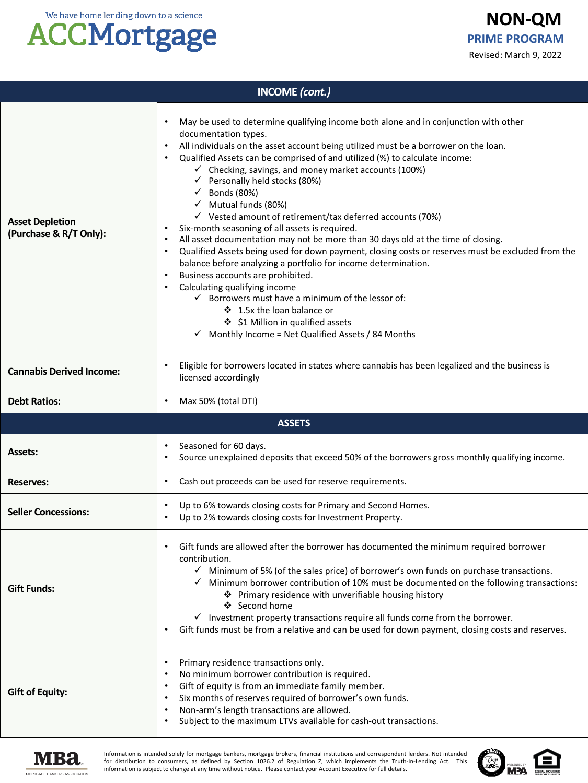## **ACCMortgage**

| <b>INCOME</b> (cont.)                            |                                                                                                                                                                                                                                                                                                                                                                                                                                                                                                                                                                                                                                                                                                                                                                                                                                                                                                                                                                                                                                                                                                                                                                   |  |  |  |
|--------------------------------------------------|-------------------------------------------------------------------------------------------------------------------------------------------------------------------------------------------------------------------------------------------------------------------------------------------------------------------------------------------------------------------------------------------------------------------------------------------------------------------------------------------------------------------------------------------------------------------------------------------------------------------------------------------------------------------------------------------------------------------------------------------------------------------------------------------------------------------------------------------------------------------------------------------------------------------------------------------------------------------------------------------------------------------------------------------------------------------------------------------------------------------------------------------------------------------|--|--|--|
| <b>Asset Depletion</b><br>(Purchase & R/T Only): | May be used to determine qualifying income both alone and in conjunction with other<br>documentation types.<br>All individuals on the asset account being utilized must be a borrower on the loan.<br>$\bullet$<br>Qualified Assets can be comprised of and utilized (%) to calculate income:<br>$\checkmark$ Checking, savings, and money market accounts (100%)<br>Personally held stocks (80%)<br>✓<br>$\checkmark$ Bonds (80%)<br>$\checkmark$ Mutual funds (80%)<br>√ Vested amount of retirement/tax deferred accounts (70%)<br>Six-month seasoning of all assets is required.<br>All asset documentation may not be more than 30 days old at the time of closing.<br>$\bullet$<br>Qualified Assets being used for down payment, closing costs or reserves must be excluded from the<br>$\bullet$<br>balance before analyzing a portfolio for income determination.<br>Business accounts are prohibited.<br>$\bullet$<br>Calculating qualifying income<br>$\checkmark$ Borrowers must have a minimum of the lessor of:<br>❖ 1.5x the loan balance or<br>❖ \$1 Million in qualified assets<br>$\checkmark$ Monthly Income = Net Qualified Assets / 84 Months |  |  |  |
| <b>Cannabis Derived Income:</b>                  | Eligible for borrowers located in states where cannabis has been legalized and the business is<br>licensed accordingly                                                                                                                                                                                                                                                                                                                                                                                                                                                                                                                                                                                                                                                                                                                                                                                                                                                                                                                                                                                                                                            |  |  |  |
| <b>Debt Ratios:</b>                              | Max 50% (total DTI)<br>$\bullet$                                                                                                                                                                                                                                                                                                                                                                                                                                                                                                                                                                                                                                                                                                                                                                                                                                                                                                                                                                                                                                                                                                                                  |  |  |  |
|                                                  | <b>ASSETS</b>                                                                                                                                                                                                                                                                                                                                                                                                                                                                                                                                                                                                                                                                                                                                                                                                                                                                                                                                                                                                                                                                                                                                                     |  |  |  |
| <b>Assets:</b>                                   | Seasoned for 60 days.<br>Source unexplained deposits that exceed 50% of the borrowers gross monthly qualifying income.<br>٠                                                                                                                                                                                                                                                                                                                                                                                                                                                                                                                                                                                                                                                                                                                                                                                                                                                                                                                                                                                                                                       |  |  |  |
| <b>Reserves:</b>                                 | Cash out proceeds can be used for reserve requirements.<br>$\bullet$                                                                                                                                                                                                                                                                                                                                                                                                                                                                                                                                                                                                                                                                                                                                                                                                                                                                                                                                                                                                                                                                                              |  |  |  |
| <b>Seller Concessions:</b>                       | Up to 6% towards closing costs for Primary and Second Homes.<br>$\bullet$<br>Up to 2% towards closing costs for Investment Property.<br>٠                                                                                                                                                                                                                                                                                                                                                                                                                                                                                                                                                                                                                                                                                                                                                                                                                                                                                                                                                                                                                         |  |  |  |
| <b>Gift Funds:</b>                               | Gift funds are allowed after the borrower has documented the minimum required borrower<br>contribution.<br>$\checkmark$ Minimum of 5% (of the sales price) of borrower's own funds on purchase transactions.<br>$\checkmark$ Minimum borrower contribution of 10% must be documented on the following transactions:<br>❖ Primary residence with unverifiable housing history<br>❖ Second home<br>$\checkmark$ Investment property transactions require all funds come from the borrower.<br>Gift funds must be from a relative and can be used for down payment, closing costs and reserves.<br>$\bullet$                                                                                                                                                                                                                                                                                                                                                                                                                                                                                                                                                         |  |  |  |
| <b>Gift of Equity:</b>                           | Primary residence transactions only.<br>٠<br>No minimum borrower contribution is required.<br>Gift of equity is from an immediate family member.<br>٠<br>Six months of reserves required of borrower's own funds.<br>Non-arm's length transactions are allowed.<br>Subject to the maximum LTVs available for cash-out transactions.<br>$\bullet$                                                                                                                                                                                                                                                                                                                                                                                                                                                                                                                                                                                                                                                                                                                                                                                                                  |  |  |  |



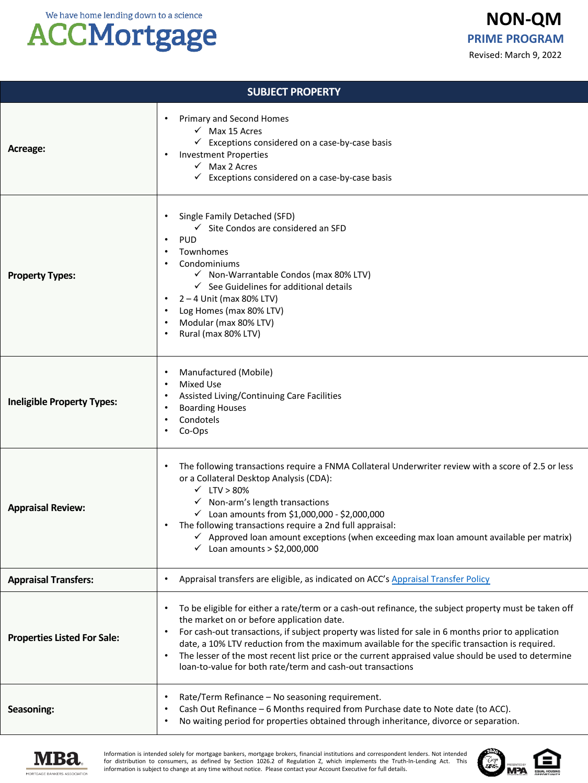#### **ACCMortgage**

| <b>SUBJECT PROPERTY</b>            |                                                                                                                                                                                                                                                                                                                                                                                                                                                                                                                                                            |  |  |  |
|------------------------------------|------------------------------------------------------------------------------------------------------------------------------------------------------------------------------------------------------------------------------------------------------------------------------------------------------------------------------------------------------------------------------------------------------------------------------------------------------------------------------------------------------------------------------------------------------------|--|--|--|
| Acreage:                           | Primary and Second Homes<br>$\checkmark$ Max 15 Acres<br>$\checkmark$ Exceptions considered on a case-by-case basis<br><b>Investment Properties</b><br>$\checkmark$ Max 2 Acres<br>$\checkmark$ Exceptions considered on a case-by-case basis                                                                                                                                                                                                                                                                                                              |  |  |  |
| <b>Property Types:</b>             | Single Family Detached (SFD)<br>$\checkmark$ Site Condos are considered an SFD<br><b>PUD</b><br>Townhomes<br>Condominiums<br>$\checkmark$ Non-Warrantable Condos (max 80% LTV)<br>$\checkmark$ See Guidelines for additional details<br>$2 - 4$ Unit (max 80% LTV)<br>Log Homes (max 80% LTV)<br>Modular (max 80% LTV)<br>Rural (max 80% LTV)                                                                                                                                                                                                              |  |  |  |
| <b>Ineligible Property Types:</b>  | Manufactured (Mobile)<br>Mixed Use<br>Assisted Living/Continuing Care Facilities<br><b>Boarding Houses</b><br>Condotels<br>Co-Ops                                                                                                                                                                                                                                                                                                                                                                                                                          |  |  |  |
| <b>Appraisal Review:</b>           | The following transactions require a FNMA Collateral Underwriter review with a score of 2.5 or less<br>or a Collateral Desktop Analysis (CDA):<br>$\times$ LTV > 80%<br>$\checkmark$ Non-arm's length transactions<br>$\checkmark$ Loan amounts from \$1,000,000 - \$2,000,000<br>The following transactions require a 2nd full appraisal:<br>$\checkmark$ Approved loan amount exceptions (when exceeding max loan amount available per matrix)<br>$\checkmark$ Loan amounts > \$2,000,000                                                                |  |  |  |
| <b>Appraisal Transfers:</b>        | Appraisal transfers are eligible, as indicated on ACC's Appraisal Transfer Policy                                                                                                                                                                                                                                                                                                                                                                                                                                                                          |  |  |  |
| <b>Properties Listed For Sale:</b> | To be eligible for either a rate/term or a cash-out refinance, the subject property must be taken off<br>$\bullet$<br>the market on or before application date.<br>For cash-out transactions, if subject property was listed for sale in 6 months prior to application<br>date, a 10% LTV reduction from the maximum available for the specific transaction is required.<br>The lesser of the most recent list price or the current appraised value should be used to determine<br>$\bullet$<br>loan-to-value for both rate/term and cash-out transactions |  |  |  |
| Seasoning:                         | Rate/Term Refinance - No seasoning requirement.<br>Cash Out Refinance - 6 Months required from Purchase date to Note date (to ACC).<br>No waiting period for properties obtained through inheritance, divorce or separation.                                                                                                                                                                                                                                                                                                                               |  |  |  |



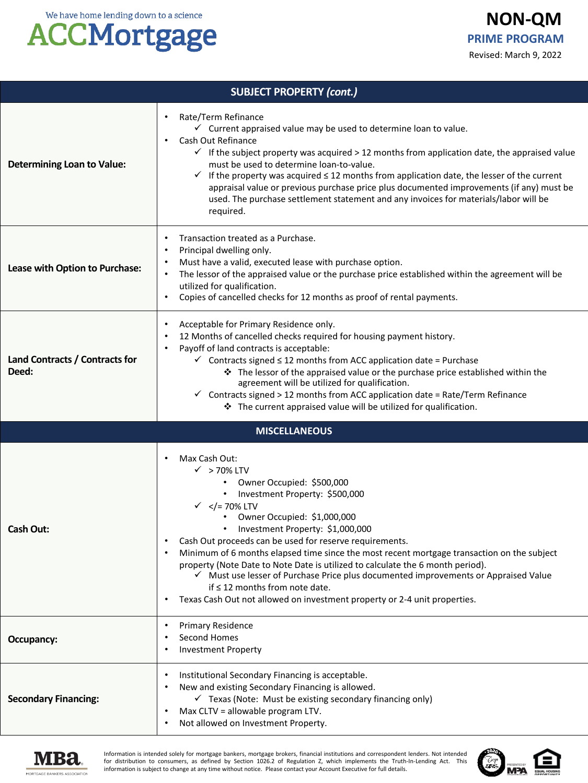#### **ACCMortgage**

| <b>SUBJECT PROPERTY (cont.)</b>         |                                                                                                                                                                                                                                                                                                                                                                                                                                                                                                                                                                                                                                                                                        |  |  |  |
|-----------------------------------------|----------------------------------------------------------------------------------------------------------------------------------------------------------------------------------------------------------------------------------------------------------------------------------------------------------------------------------------------------------------------------------------------------------------------------------------------------------------------------------------------------------------------------------------------------------------------------------------------------------------------------------------------------------------------------------------|--|--|--|
| <b>Determining Loan to Value:</b>       | Rate/Term Refinance<br>$\bullet$<br>$\checkmark$ Current appraised value may be used to determine loan to value.<br>Cash Out Refinance<br>$\bullet$<br>$\checkmark$ If the subject property was acquired > 12 months from application date, the appraised value<br>must be used to determine loan-to-value.<br>If the property was acquired $\leq 12$ months from application date, the lesser of the current<br>$\checkmark$<br>appraisal value or previous purchase price plus documented improvements (if any) must be<br>used. The purchase settlement statement and any invoices for materials/labor will be<br>required.                                                         |  |  |  |
| Lease with Option to Purchase:          | Transaction treated as a Purchase.<br>$\bullet$<br>Principal dwelling only.<br>$\bullet$<br>Must have a valid, executed lease with purchase option.<br>The lessor of the appraised value or the purchase price established within the agreement will be<br>$\bullet$<br>utilized for qualification.<br>Copies of cancelled checks for 12 months as proof of rental payments.<br>$\bullet$                                                                                                                                                                                                                                                                                              |  |  |  |
| Land Contracts / Contracts for<br>Deed: | Acceptable for Primary Residence only.<br>$\bullet$<br>12 Months of cancelled checks required for housing payment history.<br>Payoff of land contracts is acceptable:<br>$\bullet$<br>$\checkmark$ Contracts signed $\leq$ 12 months from ACC application date = Purchase<br>* The lessor of the appraised value or the purchase price established within the<br>agreement will be utilized for qualification.<br>$\checkmark$ Contracts signed > 12 months from ACC application date = Rate/Term Refinance<br>❖ The current appraised value will be utilized for qualification.                                                                                                       |  |  |  |
|                                         | <b>MISCELLANEOUS</b>                                                                                                                                                                                                                                                                                                                                                                                                                                                                                                                                                                                                                                                                   |  |  |  |
| <b>Cash Out:</b>                        | Max Cash Out:<br>$\bullet$<br>$\checkmark$ > 70% LTV<br>Owner Occupied: \$500,000<br>Investment Property: \$500,000<br>$\sqrt{\frac{2}{5}}$ = 70% LTV<br Owner Occupied: \$1,000,000<br>Investment Property: \$1,000,000<br>Cash Out proceeds can be used for reserve requirements.<br>٠<br>Minimum of 6 months elapsed time since the most recent mortgage transaction on the subject<br>property (Note Date to Note Date is utilized to calculate the 6 month period).<br>Must use lesser of Purchase Price plus documented improvements or Appraised Value<br>if $\leq$ 12 months from note date.<br>Texas Cash Out not allowed on investment property or 2-4 unit properties.<br>٠ |  |  |  |
| Occupancy:                              | <b>Primary Residence</b><br>$\bullet$<br>Second Homes<br><b>Investment Property</b><br>٠                                                                                                                                                                                                                                                                                                                                                                                                                                                                                                                                                                                               |  |  |  |
| <b>Secondary Financing:</b>             | Institutional Secondary Financing is acceptable.<br>$\bullet$<br>New and existing Secondary Financing is allowed.<br>$\bullet$<br>$\checkmark$ Texas (Note: Must be existing secondary financing only)<br>Max CLTV = allowable program LTV.<br>$\bullet$<br>Not allowed on Investment Property.                                                                                                                                                                                                                                                                                                                                                                                        |  |  |  |